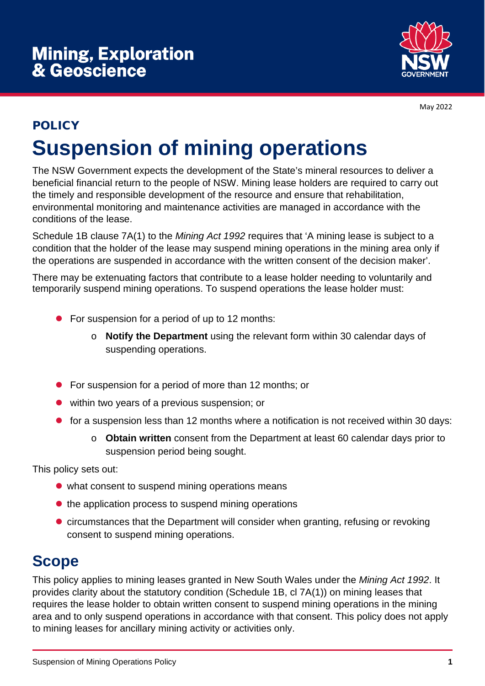

May 2022

# POLICY **Suspension of mining operations**

The NSW Government expects the development of the State's mineral resources to deliver a beneficial financial return to the people of NSW. Mining lease holders are required to carry out the timely and responsible development of the resource and ensure that rehabilitation, environmental monitoring and maintenance activities are managed in accordance with the conditions of the lease.

Schedule 1B clause 7A(1) to the *Mining Act 1992* requires that 'A mining lease is subject to a condition that the holder of the lease may suspend mining operations in the mining area only if the operations are suspended in accordance with the written consent of the decision maker'.

There may be extenuating factors that contribute to a lease holder needing to voluntarily and temporarily suspend mining operations. To suspend operations the lease holder must:

- For suspension for a period of up to 12 months:
	- o **Notify the Department** using the relevant form within 30 calendar days of suspending operations.
- **•** For suspension for a period of more than 12 months; or
- within two years of a previous suspension; or
- **•** for a suspension less than 12 months where a notification is not received within 30 days:
	- o **Obtain written** consent from the Department at least 60 calendar days prior to suspension period being sought.

This policy sets out:

- what consent to suspend mining operations means
- $\bullet$  the application process to suspend mining operations
- circumstances that the Department will consider when granting, refusing or revoking consent to suspend mining operations.

# **Scope**

This policy applies to mining leases granted in New South Wales under the *Mining Act 1992*. It provides clarity about the statutory condition (Schedule 1B, cl 7A(1)) on mining leases that requires the lease holder to obtain written consent to suspend mining operations in the mining area and to only suspend operations in accordance with that consent. This policy does not apply to mining leases for ancillary mining activity or activities only.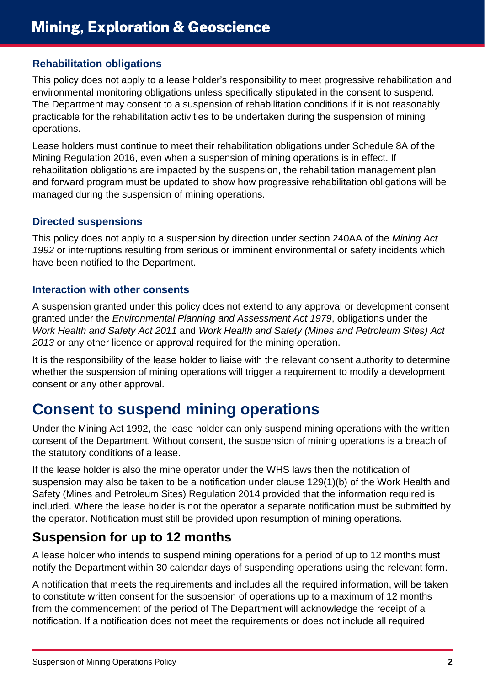#### **Rehabilitation obligations**

This policy does not apply to a lease holder's responsibility to meet progressive rehabilitation and environmental monitoring obligations unless specifically stipulated in the consent to suspend. The Department may consent to a suspension of rehabilitation conditions if it is not reasonably practicable for the rehabilitation activities to be undertaken during the suspension of mining operations.

Lease holders must continue to meet their rehabilitation obligations under Schedule 8A of the Mining Regulation 2016, even when a suspension of mining operations is in effect. If rehabilitation obligations are impacted by the suspension, the rehabilitation management plan and forward program must be updated to show how progressive rehabilitation obligations will be managed during the suspension of mining operations.

#### **Directed suspensions**

This policy does not apply to a suspension by direction under section 240AA of the *Mining Act 1992* or interruptions resulting from serious or imminent environmental or safety incidents which have been notified to the Department.

#### **Interaction with other consents**

A suspension granted under this policy does not extend to any approval or development consent granted under the *Environmental Planning and Assessment Act 1979*, obligations under the *Work Health and Safety Act 2011* and *Work Health and Safety (Mines and Petroleum Sites) Act 2013* or any other licence or approval required for the mining operation.

It is the responsibility of the lease holder to liaise with the relevant consent authority to determine whether the suspension of mining operations will trigger a requirement to modify a development consent or any other approval.

# **Consent to suspend mining operations**

Under the Mining Act 1992, the lease holder can only suspend mining operations with the written consent of the Department. Without consent, the suspension of mining operations is a breach of the statutory conditions of a lease.

If the lease holder is also the mine operator under the WHS laws then the notification of suspension may also be taken to be a notification under clause 129(1)(b) of the Work Health and Safety (Mines and Petroleum Sites) Regulation 2014 provided that the information required is included. Where the lease holder is not the operator a separate notification must be submitted by the operator. Notification must still be provided upon resumption of mining operations.

#### **Suspension for up to 12 months**

A lease holder who intends to suspend mining operations for a period of up to 12 months must notify the Department within 30 calendar days of suspending operations using the relevant form.

A notification that meets the requirements and includes all the required information, will be taken to constitute written consent for the suspension of operations up to a maximum of 12 months from the commencement of the period of The Department will acknowledge the receipt of a notification. If a notification does not meet the requirements or does not include all required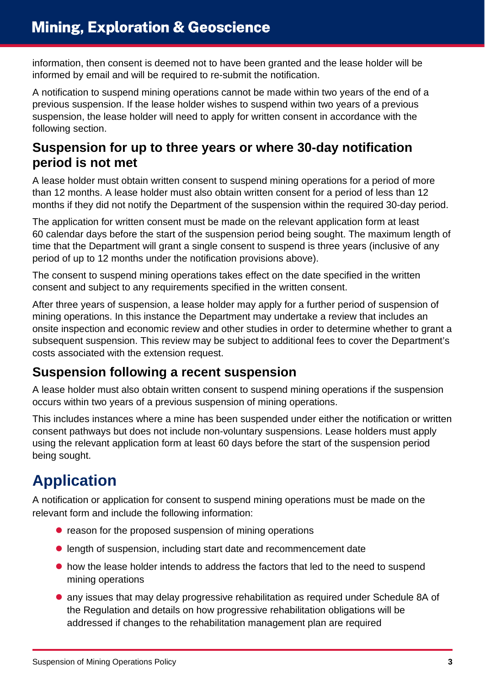information, then consent is deemed not to have been granted and the lease holder will be informed by email and will be required to re-submit the notification.

A notification to suspend mining operations cannot be made within two years of the end of a previous suspension. If the lease holder wishes to suspend within two years of a previous suspension, the lease holder will need to apply for written consent in accordance with the following section.

### **Suspension for up to three years or where 30-day notification period is not met**

A lease holder must obtain written consent to suspend mining operations for a period of more than 12 months. A lease holder must also obtain written consent for a period of less than 12 months if they did not notify the Department of the suspension within the required 30-day period.

The application for written consent must be made on the relevant application form at least 60 calendar days before the start of the suspension period being sought. The maximum length of time that the Department will grant a single consent to suspend is three years (inclusive of any period of up to 12 months under the notification provisions above).

The consent to suspend mining operations takes effect on the date specified in the written consent and subject to any requirements specified in the written consent.

After three years of suspension, a lease holder may apply for a further period of suspension of mining operations. In this instance the Department may undertake a review that includes an onsite inspection and economic review and other studies in order to determine whether to grant a subsequent suspension. This review may be subject to additional fees to cover the Department's costs associated with the extension request.

### **Suspension following a recent suspension**

A lease holder must also obtain written consent to suspend mining operations if the suspension occurs within two years of a previous suspension of mining operations.

This includes instances where a mine has been suspended under either the notification or written consent pathways but does not include non-voluntary suspensions. Lease holders must apply using the relevant application form at least 60 days before the start of the suspension period being sought.

# **Application**

A notification or application for consent to suspend mining operations must be made on the relevant form and include the following information:

- reason for the proposed suspension of mining operations
- length of suspension, including start date and recommencement date
- how the lease holder intends to address the factors that led to the need to suspend mining operations
- any issues that may delay progressive rehabilitation as required under Schedule 8A of the Regulation and details on how progressive rehabilitation obligations will be addressed if changes to the rehabilitation management plan are required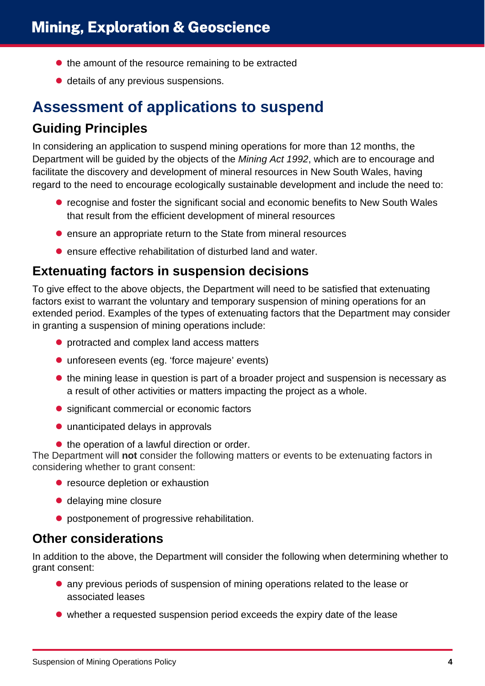- $\bullet$  the amount of the resource remaining to be extracted
- details of any previous suspensions.

## **Assessment of applications to suspend**

### **Guiding Principles**

In considering an application to suspend mining operations for more than 12 months, the Department will be guided by the objects of the *Mining Act 1992*, which are to encourage and facilitate the discovery and development of mineral resources in New South Wales, having regard to the need to encourage ecologically sustainable development and include the need to:

- **•** recognise and foster the significant social and economic benefits to New South Wales that result from the efficient development of mineral resources
- $\bullet$  ensure an appropriate return to the State from mineral resources
- **•** ensure effective rehabilitation of disturbed land and water.

#### **Extenuating factors in suspension decisions**

To give effect to the above objects, the Department will need to be satisfied that extenuating factors exist to warrant the voluntary and temporary suspension of mining operations for an extended period. Examples of the types of extenuating factors that the Department may consider in granting a suspension of mining operations include:

- protracted and complex land access matters
- unforeseen events (eg. 'force majeure' events)
- $\bullet$  the mining lease in question is part of a broader project and suspension is necessary as a result of other activities or matters impacting the project as a whole.
- significant commercial or economic factors
- unanticipated delays in approvals
- $\bullet$  the operation of a lawful direction or order.

The Department will **not** consider the following matters or events to be extenuating factors in considering whether to grant consent:

- **•** resource depletion or exhaustion
- delaying mine closure
- **•** postponement of progressive rehabilitation.

#### **Other considerations**

In addition to the above, the Department will consider the following when determining whether to grant consent:

- any previous periods of suspension of mining operations related to the lease or associated leases
- whether a requested suspension period exceeds the expiry date of the lease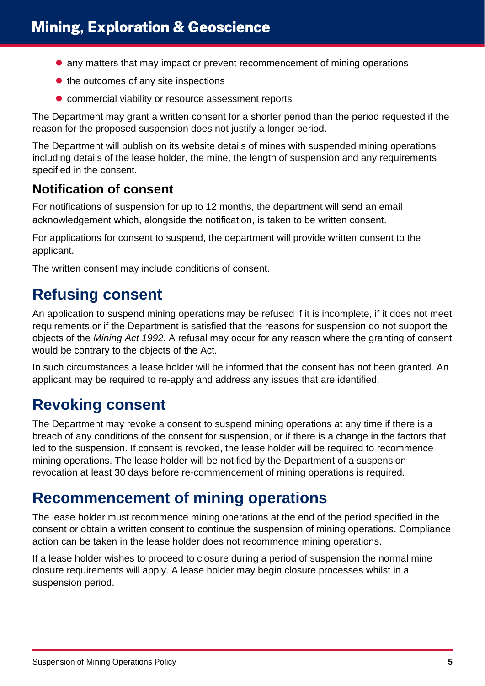- any matters that may impact or prevent recommencement of mining operations
- $\bullet$  the outcomes of any site inspections
- commercial viability or resource assessment reports

The Department may grant a written consent for a shorter period than the period requested if the reason for the proposed suspension does not justify a longer period.

The Department will publish on its website details of mines with suspended mining operations including details of the lease holder, the mine, the length of suspension and any requirements specified in the consent.

#### **Notification of consent**

For notifications of suspension for up to 12 months, the department will send an email acknowledgement which, alongside the notification, is taken to be written consent.

For applications for consent to suspend, the department will provide written consent to the applicant.

The written consent may include conditions of consent.

# **Refusing consent**

An application to suspend mining operations may be refused if it is incomplete, if it does not meet requirements or if the Department is satisfied that the reasons for suspension do not support the objects of the *Mining Act 1992.* A refusal may occur for any reason where the granting of consent would be contrary to the objects of the Act.

In such circumstances a lease holder will be informed that the consent has not been granted. An applicant may be required to re-apply and address any issues that are identified.

# **Revoking consent**

The Department may revoke a consent to suspend mining operations at any time if there is a breach of any conditions of the consent for suspension, or if there is a change in the factors that led to the suspension. If consent is revoked, the lease holder will be required to recommence mining operations. The lease holder will be notified by the Department of a suspension revocation at least 30 days before re-commencement of mining operations is required.

## **Recommencement of mining operations**

The lease holder must recommence mining operations at the end of the period specified in the consent or obtain a written consent to continue the suspension of mining operations. Compliance action can be taken in the lease holder does not recommence mining operations.

If a lease holder wishes to proceed to closure during a period of suspension the normal mine closure requirements will apply. A lease holder may begin closure processes whilst in a suspension period.